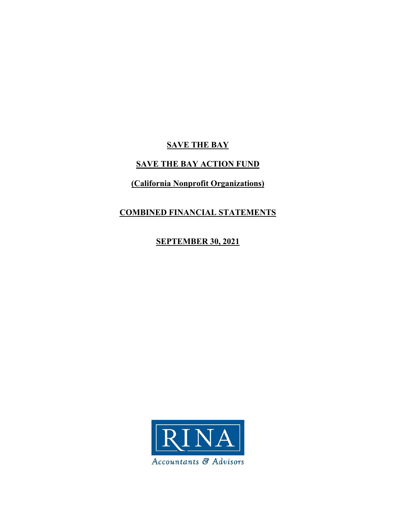# **SAVE THE BAY**

# **SAVE THE BAY ACTION FUND**

# **(California Nonprofit Organizations)**

# **COMBINED FINANCIAL STATEMENTS**

# **SEPTEMBER 30, 2021**

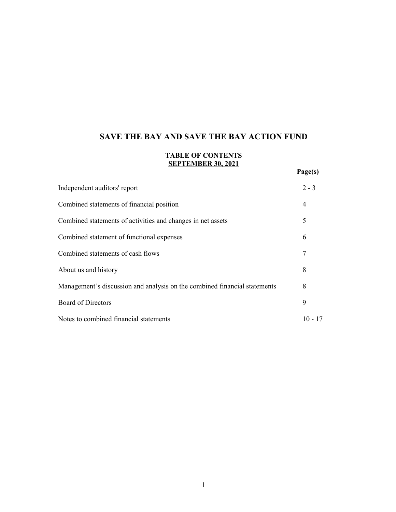# **TABLE OF CONTENTS SEPTEMBER 30, 2021**

|                                                                           | Page(s)   |
|---------------------------------------------------------------------------|-----------|
| Independent auditors' report                                              | $2 - 3$   |
| Combined statements of financial position                                 | 4         |
| Combined statements of activities and changes in net assets               | 5         |
| Combined statement of functional expenses                                 | 6         |
| Combined statements of cash flows                                         | 7         |
| About us and history                                                      | 8         |
| Management's discussion and analysis on the combined financial statements | 8         |
| <b>Board of Directors</b>                                                 | 9         |
| Notes to combined financial statements                                    | $10 - 17$ |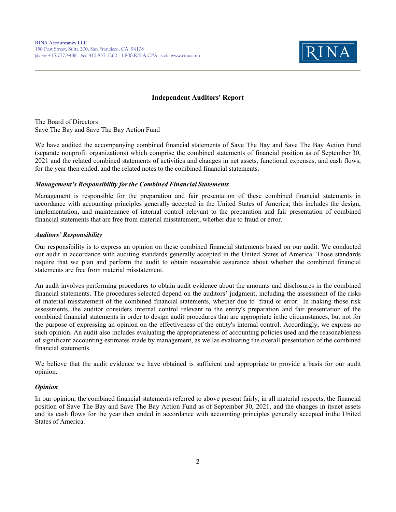

#### **Independent Auditors' Report**

The Board of Directors Save The Bay and Save The Bay Action Fund

We have audited the accompanying combined financial statements of Save The Bay and Save The Bay Action Fund (separate nonprofit organizations) which comprise the combined statements of financial position as of September 30, 2021 and the related combined statements of activities and changes in net assets, functional expenses, and cash flows, for the year then ended, and the related notes to the combined financial statements.

#### *Management's Responsibility for the Combined Financial Statements*

Management is responsible for the preparation and fair presentation of these combined financial statements in accordance with accounting principles generally accepted in the United States of America; this includes the design, implementation, and maintenance of internal control relevant to the preparation and fair presentation of combined financial statements that are free from material misstatement, whether due to fraud or error.

#### *Auditors' Responsibility*

Our responsibility is to express an opinion on these combined financial statements based on our audit. We conducted our audit in accordance with auditing standards generally accepted in the United States of America. Those standards require that we plan and perform the audit to obtain reasonable assurance about whether the combined financial statements are free from material misstatement.

An audit involves performing procedures to obtain audit evidence about the amounts and disclosures in the combined financial statements. The procedures selected depend on the auditors' judgment, including the assessment of the risks of material misstatement of the combined financial statements, whether due to fraud or error. In making those risk assessments, the auditor considers internal control relevant to the entity's preparation and fair presentation of the combined financial statements in order to design audit procedures that are appropriate in the circumstances, but not for the purpose of expressing an opinion on the effectiveness of the entity's internal control. Accordingly, we express no such opinion. An audit also includes evaluating the appropriateness of accounting policies used and the reasonableness of significant accounting estimates made by management, as wellas evaluating the overall presentation of the combined financial statements.

We believe that the audit evidence we have obtained is sufficient and appropriate to provide a basis for our audit opinion.

#### *Opinion*

In our opinion, the combined financial statements referred to above present fairly, in all material respects, the financial position of Save The Bay and Save The Bay Action Fund as of September 30, 2021, and the changes in its net assets and its cash flows for the year then ended in accordance with accounting principles generally accepted in the United States of America.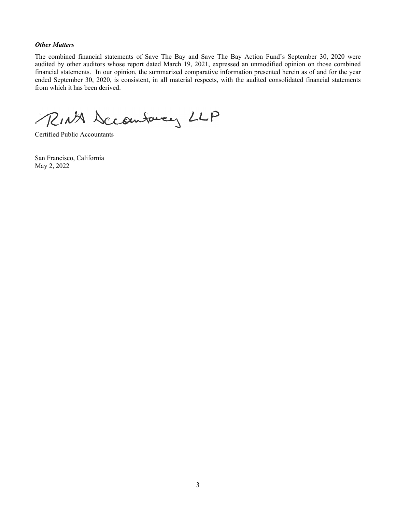#### *Other Matters*

The combined financial statements of Save The Bay and Save The Bay Action Fund's September 30, 2020 were audited by other auditors whose report dated March 19, 2021, expressed an unmodified opinion on those combined financial statements. In our opinion, the summarized comparative information presented herein as of and for the year ended September 30, 2020, is consistent, in all material respects, with the audited consolidated financial statements from which it has been derived.

RINA Sccomfarey LLP

Certified Public Accountants

San Francisco, California May 2, 2022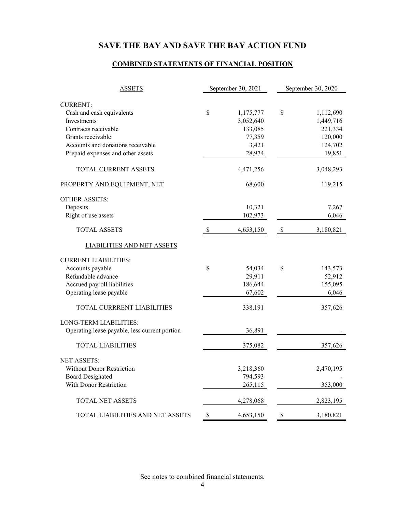# **COMBINED STATEMENTS OF FINANCIAL POSITION**

| <b>ASSETS</b>                                 | September 30, 2021 |           |                           | September 30, 2020 |
|-----------------------------------------------|--------------------|-----------|---------------------------|--------------------|
| <b>CURRENT:</b>                               |                    |           |                           |                    |
| Cash and cash equivalents                     | \$                 | 1,175,777 | \$                        | 1,112,690          |
| <b>Investments</b>                            |                    | 3,052,640 |                           | 1,449,716          |
| Contracts receivable                          |                    | 133,085   |                           | 221,334            |
| Grants receivable                             |                    | 77,359    |                           | 120,000            |
| Accounts and donations receivable             |                    | 3,421     |                           | 124,702            |
| Prepaid expenses and other assets             |                    | 28,974    |                           | 19,851             |
| TOTAL CURRENT ASSETS                          |                    | 4,471,256 |                           | 3,048,293          |
| PROPERTY AND EQUIPMENT, NET                   |                    | 68,600    |                           | 119,215            |
| <b>OTHER ASSETS:</b>                          |                    |           |                           |                    |
| Deposits                                      |                    | 10,321    |                           | 7,267              |
| Right of use assets                           |                    | 102,973   |                           | 6,046              |
| <b>TOTAL ASSETS</b>                           | <sup>S</sup>       | 4,653,150 | -S                        | 3,180,821          |
| <b>LIABILITIES AND NET ASSETS</b>             |                    |           |                           |                    |
| <b>CURRENT LIABILITIES:</b>                   |                    |           |                           |                    |
| Accounts payable                              | \$                 | 54,034    | \$                        | 143,573            |
| Refundable advance                            |                    | 29,911    |                           | 52,912             |
| Accrued payroll liabilities                   |                    | 186,644   |                           | 155,095            |
| Operating lease payable                       |                    | 67,602    |                           | 6,046              |
| TOTAL CURRRENT LIABILITIES                    |                    | 338,191   |                           | 357,626            |
| LONG-TERM LIABILITIES:                        |                    |           |                           |                    |
| Operating lease payable, less current portion |                    | 36,891    |                           |                    |
| <b>TOTAL LIABILITIES</b>                      |                    | 375,082   |                           | 357,626            |
| <b>NET ASSETS:</b>                            |                    |           |                           |                    |
| Without Donor Restriction                     |                    | 3,218,360 |                           | 2,470,195          |
| <b>Board Designated</b>                       |                    | 794,593   |                           |                    |
| With Donor Restriction                        |                    | 265,115   |                           | 353,000            |
| TOTAL NET ASSETS                              |                    | 4,278,068 |                           | 2,823,195          |
| TOTAL LIABILITIES AND NET ASSETS              | \$                 | 4,653,150 | $\boldsymbol{\mathsf{S}}$ | 3,180,821          |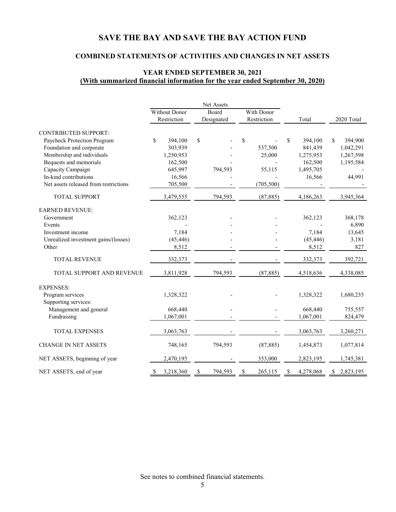## **COMBINED STATEMENTS OF ACTIVITIES AND CHANGES IN NET ASSETS**

## **YEAR ENDED SEPTEMBER 30, 2021 (With summarized financial information for the year ended September 30, 2020)**

|                                       |                 | Net Assets   |              |                        |                 |  |
|---------------------------------------|-----------------|--------------|--------------|------------------------|-----------------|--|
|                                       | Without Donor   | Board        | With Donor   |                        |                 |  |
|                                       | Restriction     | Designated   | Restriction  | Total                  | 2020 Total      |  |
| <b>CONTRIBUTED SUPPORT:</b>           |                 |              |              |                        |                 |  |
| Paycheck Protection Program           | \$<br>394,100   | \$           | \$           | $\mathbf S$<br>394,100 | 394,900<br>\$   |  |
| Foundation and corporate              | 303,939         |              | 537,500      | 841,439                | 1,042,291       |  |
| Membership and individuals            | 1,250,953       |              | 25,000       | 1,275,953              | 1,267,598       |  |
| Bequests and memorials                | 162,500         |              |              | 162,500                | 1,195,584       |  |
| Capacity Campaign                     | 645,997         | 794,593      | 55,115       | 1,495,705              |                 |  |
| In-kind contributions                 | 16,566          |              |              | 16,566                 | 44,991          |  |
| Net assets released from restrictions | 705,500         |              | (705, 500)   |                        |                 |  |
| <b>TOTAL SUPPORT</b>                  | 3,479,555       | 794,593      | (87, 885)    | 4,186,263              | 3,945,364       |  |
| <b>EARNED REVENUE:</b>                |                 |              |              |                        |                 |  |
| Government                            | 362,123         |              |              | 362,123                | 368,178         |  |
| Events                                |                 |              |              |                        | 6,890           |  |
| Investment income                     | 7,184           |              |              | 7,184                  | 13,645          |  |
| Unrealized investment gains/(losses)  | (45, 446)       |              |              | (45, 446)              | 3,181           |  |
| Other                                 | 8,512           |              |              | 8,512                  | 827             |  |
| TOTAL REVENUE                         | 332,373         |              |              | 332,373                | 392,721         |  |
| TOTAL SUPPORT AND REVENUE             | 3,811,928       | 794,593      | (87, 885)    | 4,518,636              | 4,338,085       |  |
| <b>EXPENSES:</b>                      |                 |              |              |                        |                 |  |
| Program services                      | 1,328,322       |              |              | 1,328,322              | 1,680,235       |  |
| Supporting services:                  |                 |              |              |                        |                 |  |
| Management and general                | 668,440         |              |              | 668,440                | 755,557         |  |
| Fundraising                           | 1,067,001       |              |              | 1,067,001              | 824,479         |  |
| <b>TOTAL EXPENSES</b>                 | 3,063,763       |              |              | 3,063,763              | 3,260,271       |  |
| <b>CHANGE IN NET ASSETS</b>           | 748,165         | 794,593      | (87, 885)    | 1,454,873              | 1,077,814       |  |
| NET ASSETS, beginning of year         | 2,470,195       |              | 353,000      | 2,823,195              | 1,745,381       |  |
| NET ASSETS, end of year               | 3,218,360<br>\$ | 794,593<br>S | 265,115<br>S | 4,278,068<br>S         | 2,823,195<br>\$ |  |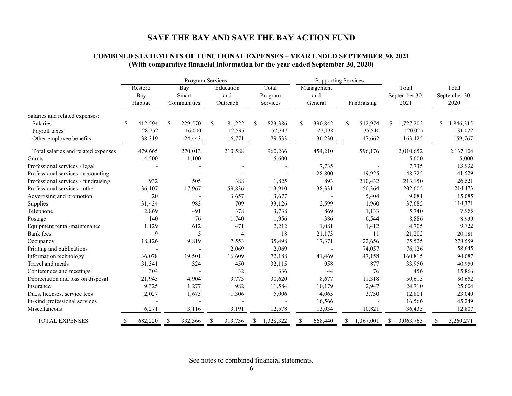|                                     | Program Services |                                  |               |                             |    |                              |    | <b>Supporting Services</b>   |   |                              |    |             |    |                                |                                |
|-------------------------------------|------------------|----------------------------------|---------------|-----------------------------|----|------------------------------|----|------------------------------|---|------------------------------|----|-------------|----|--------------------------------|--------------------------------|
|                                     |                  | Restore<br><b>Bay</b><br>Habitat |               | Bay<br>Smart<br>Communities |    | Education<br>and<br>Outreach |    | Total<br>Program<br>Services |   | Management<br>and<br>General |    | Fundraising |    | Total<br>September 30,<br>2021 | Total<br>September 30,<br>2020 |
| Salaries and related expenses:      |                  |                                  |               |                             |    |                              |    |                              |   |                              |    |             |    |                                |                                |
| Salaries                            | \$               | 412,594                          | <sup>\$</sup> | 229,570                     | -S | 181,222                      | \$ | 823,386                      | S | 390,842                      | \$ | 512,974     | -S | 1,727,202                      | \$<br>1,846,315                |
| Payroll taxes                       |                  | 28,752                           |               | 16,000                      |    | 12,595                       |    | 57,347                       |   | 27,138                       |    | 35,540      |    | 120,025                        | 131,022                        |
| Other employee benefits             |                  | 38,319                           |               | 24,443                      |    | 16,771                       |    | 79,533                       |   | 36,230                       |    | 47,662      |    | 163,425                        | 159,767                        |
| Total salaries and related expenses |                  | 479,665                          |               | 270,013                     |    | 210,588                      |    | 960,266                      |   | 454,210                      |    | 596,176     |    | 2,010,652                      | 2,137,104                      |
| Grants                              |                  | 4,500                            |               | 1,100                       |    |                              |    | 5,600                        |   |                              |    |             |    | 5,600                          | 5,000                          |
| Professional services - legal       |                  |                                  |               |                             |    |                              |    |                              |   | 7,735                        |    |             |    | 7,735                          | 13,932                         |
| Professional services - accounting  |                  |                                  |               |                             |    |                              |    |                              |   | 28,800                       |    | 19,925      |    | 48,725                         | 41,529                         |
| Professional services - fundraising |                  | 932                              |               | 505                         |    | 388                          |    | 1,825                        |   | 893                          |    | 210,432     |    | 213,150                        | 26,521                         |
| Professional services - other       |                  | 36,107                           |               | 17,967                      |    | 59,836                       |    | 113,910                      |   | 38,331                       |    | 50,364      |    | 202,605                        | 214,473                        |
| Advertising and promotion           |                  | 20                               |               |                             |    | 3,657                        |    | 3,677                        |   |                              |    | 5,404       |    | 9,081                          | 15,085                         |
| Supplies                            |                  | 31,434                           |               | 983                         |    | 709                          |    | 33,126                       |   | 2,599                        |    | 1,960       |    | 37,685                         | 114,371                        |
| Telephone                           |                  | 2,869                            |               | 491                         |    | 378                          |    | 3,738                        |   | 869                          |    | 1,133       |    | 5,740                          | 7,955                          |
| Postage                             |                  | 140                              |               | 76                          |    | 1,740                        |    | 1,956                        |   | 386                          |    | 6,544       |    | 8,886                          | 8,939                          |
| Equipment rental/maintenance        |                  | 1,129                            |               | 612                         |    | 471                          |    | 2,212                        |   | 1,081                        |    | 1,412       |    | 4,705                          | 9,722                          |
| <b>Bank</b> fees                    |                  | 9                                |               | 5                           |    | 4                            |    | 18                           |   | 21,173                       |    | 11          |    | 21,202                         | 20,181                         |
| Occupancy                           |                  | 18,126                           |               | 9,819                       |    | 7,553                        |    | 35,498                       |   | 17,371                       |    | 22,656      |    | 75,525                         | 278,559                        |
| Printing and publications           |                  |                                  |               |                             |    | 2,069                        |    | 2,069                        |   |                              |    | 74,057      |    | 76,126                         | 58,645                         |
| Information technology              |                  | 36,078                           |               | 19,501                      |    | 16,609                       |    | 72,188                       |   | 41,469                       |    | 47,158      |    | 160,815                        | 94,087                         |
| Travel and meals                    |                  | 31,341                           |               | 324                         |    | 450                          |    | 32,115                       |   | 958                          |    | 877         |    | 33,950                         | 40,950                         |
| Conferences and meetings            |                  | 304                              |               |                             |    | 32                           |    | 336                          |   | 44                           |    | 76          |    | 456                            | 15,866                         |
| Depreciation and loss on disposal   |                  | 21,943                           |               | 4,904                       |    | 3,773                        |    | 30,620                       |   | 8,677                        |    | 11,318      |    | 50,615                         | 50,652                         |
| Insurance                           |                  | 9,325                            |               | 1,277                       |    | 982                          |    | 11,584                       |   | 10,179                       |    | 2,947       |    | 24,710                         | 25,604                         |
| Dues, licenses, service fees        |                  | 2,027                            |               | 1,673                       |    | 1,306                        |    | 5,006                        |   | 4,065                        |    | 3,730       |    | 12,801                         | 23,040                         |
| In-kind professional services       |                  |                                  |               |                             |    |                              |    |                              |   | 16,566                       |    |             |    | 16,566                         | 45,249                         |
| Miscellaneous                       |                  | 6,271                            |               | 3,116                       |    | 3,191                        |    | 12,578                       |   | 13,034                       |    | 10,821      |    | 36,433                         | 12,807                         |
| <b>TOTAL EXPENSES</b>               | <sup>S</sup>     | 682,220                          | S             | 332,366                     |    | 313,736                      |    | 1,328,322                    |   | 668,440                      |    | 1,067,001   | S  | 3,063,763                      | 3,260,271                      |

## **COMBINED STATEMENTS OF FUNCTIONAL EXPENSES – YEAR ENDED SEPTEMBER 30, 2021 (With comparative financial information for the year ended September 30, 2020)**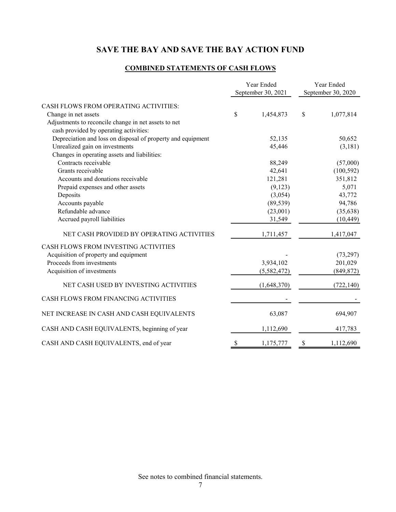## **COMBINED STATEMENTS OF CASH FLOWS**

|                                                             | Year Ended<br>September 30, 2021 | Year Ended<br>September 30, 2020 |
|-------------------------------------------------------------|----------------------------------|----------------------------------|
| CASH FLOWS FROM OPERATING ACTIVITIES:                       |                                  |                                  |
| Change in net assets                                        | \$<br>1,454,873                  | \$<br>1,077,814                  |
| Adjustments to reconcile change in net assets to net        |                                  |                                  |
| cash provided by operating activities:                      |                                  |                                  |
| Depreciation and loss on disposal of property and equipment | 52,135                           | 50,652                           |
| Unrealized gain on investments                              | 45,446                           | (3,181)                          |
| Changes in operating assets and liabilities:                |                                  |                                  |
| Contracts receivable                                        | 88,249                           | (57,000)                         |
| Grants receivable                                           | 42,641                           | (100, 592)                       |
| Accounts and donations receivable                           | 121,281                          | 351,812                          |
| Prepaid expenses and other assets                           | (9,123)                          | 5,071                            |
| Deposits                                                    | (3,054)                          | 43,772                           |
| Accounts payable                                            | (89, 539)                        | 94,786                           |
| Refundable advance                                          | (23,001)                         | (35, 638)                        |
| Accrued payroll liabilities                                 | 31,549                           | (10, 449)                        |
| NET CASH PROVIDED BY OPERATING ACTIVITIES                   | 1,711,457                        | 1,417,047                        |
| CASH FLOWS FROM INVESTING ACTIVITIES                        |                                  |                                  |
| Acquisition of property and equipment                       |                                  | (73, 297)                        |
| Proceeds from investments                                   | 3,934,102                        | 201,029                          |
| Acquisition of investments                                  | (5,582,472)                      | (849, 872)                       |
| NET CASH USED BY INVESTING ACTIVITIES                       | (1,648,370)                      | (722, 140)                       |
| CASH FLOWS FROM FINANCING ACTIVITIES                        |                                  |                                  |
| NET INCREASE IN CASH AND CASH EQUIVALENTS                   | 63,087                           | 694,907                          |
| CASH AND CASH EQUIVALENTS, beginning of year                | 1,112,690                        | 417,783                          |
| CASH AND CASH EQUIVALENTS, end of year                      | \$<br>1,175,777                  | \$<br>1,112,690                  |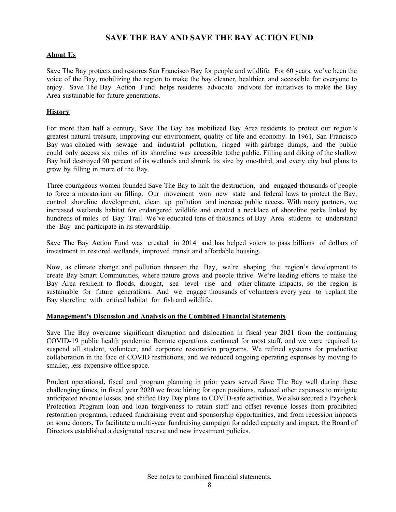## **About Us**

Save The Bay protects and restores San Francisco Bay for people and wildlife. For 60 years, we've been the voice of the Bay, mobilizing the region to make the bay cleaner, healthier, and accessible for everyone to enjoy. Save The Bay Action Fund helps residents advocate and vote for initiatives to make the Bay Area sustainable for future generations.

## **History**

For more than half a century, Save The Bay has mobilized Bay Area residents to protect our region's greatest natural treasure, improving our environment, quality of life and economy. In 1961, San Francisco Bay was choked with sewage and industrial pollution, ringed with garbage dumps, and the public could only access six miles of its shoreline was accessible to the public. Filling and diking of the shallow Bay had destroyed 90 percent of its wetlands and shrunk its size by one-third, and every city had plans to grow by filling in more of the Bay.

Three courageous women founded Save The Bay to halt the destruction, and engaged thousands of people to force a moratorium on filling. Our movement won new state and federal laws to protect the Bay, control shoreline development, clean up pollution and increase public access. With many partners, we increased wetlands habitat for endangered wildlife and created a necklace of shoreline parks linked by hundreds of miles of Bay Trail. We've educated tens of thousands of Bay Area students to understand the Bay and participate in its stewardship.

Save The Bay Action Fund was created in 2014 and has helped voters to pass billions of dollars of investment in restored wetlands, improved transit and affordable housing.

Now, as climate change and pollution threaten the Bay, we're shaping the region's development to create Bay Smart Communities, where nature grows and people thrive. We're leading efforts to make the Bay Area resilient to floods, drought, sea level rise and other climate impacts, so the region is sustainable for future generations. And we engage thousands of volunteers every year to replant the Bay shoreline with critical habitat for fish and wildlife.

#### **Management's Discussion and Analysis on the Combined Financial Statements**

Save The Bay overcame significant disruption and dislocation in fiscal year 2021 from the continuing COVID-19 public health pandemic. Remote operations continued for most staff, and we were required to suspend all student, volunteer, and corporate restoration programs. We refined systems for productive collaboration in the face of COVID restrictions, and we reduced ongoing operating expenses by moving to smaller, less expensive office space.

Prudent operational, fiscal and program planning in prior years served Save The Bay well during these challenging times, in fiscal year 2020 we froze hiring for open positions, reduced other expenses to mitigate anticipated revenue losses, and shifted Bay Day plans to COVID-safe activities. We also secured a Paycheck Protection Program loan and loan forgiveness to retain staff and offset revenue losses from prohibited restoration programs, reduced fundraising event and sponsorship opportunities, and from recession impacts on some donors. To facilitate a multi-year fundraising campaign for added capacity and impact, the Board of Directors established a designated reserve and new investment policies.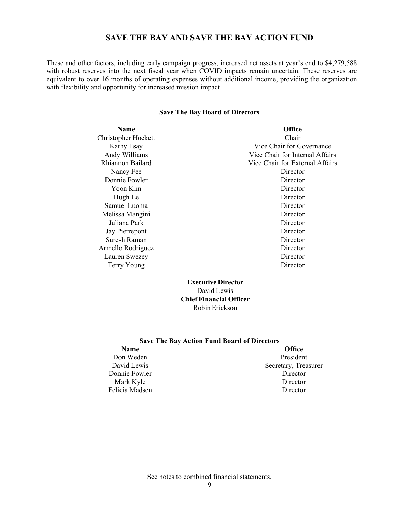These and other factors, including early campaign progress, increased net assets at year's end to \$4,279,588 with robust reserves into the next fiscal year when COVID impacts remain uncertain. These reserves are equivalent to over 16 months of operating expenses without additional income, providing the organization with flexibility and opportunity for increased mission impact.

#### **Save The Bay Board of Directors**

| <b>Name</b>         | <b>Office</b>                   |
|---------------------|---------------------------------|
| Christopher Hockett | Chair                           |
| Kathy Tsay          | Vice Chair for Governance       |
| Andy Williams       | Vice Chair for Internal Affairs |
| Rhiannon Bailard    | Vice Chair for External Affairs |
| Nancy Fee           | Director                        |
| Donnie Fowler       | Director                        |
| Yoon Kim            | Director                        |
| Hugh Le             | Director                        |
| Samuel Luoma        | Director                        |
| Melissa Mangini     | Director                        |
| Juliana Park        | Director                        |
| Jay Pierrepont      | Director                        |
| Suresh Raman        | Director                        |
| Armello Rodriguez   | Director                        |
| Lauren Swezey       | Director                        |
| Terry Young         | Director                        |

#### **Executive Director**  David Lewis **Chief Financial Officer**  Robin Erickson

#### **Save The Bay Action Fund Board of Directors**

Donnie Fowler Director<br>
Mark Kyle Director<br>
Director Mark Kyle Felicia Madsen Director

# **Name Office Office** Don Weden President David Lewis Secretary, Treasurer<br>
Donnie Fowler Secretary, Treasurer<br>
Director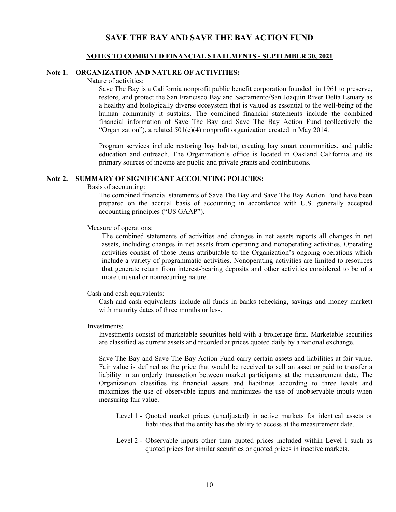## **NOTES TO COMBINED FINANCIAL STATEMENTS - SEPTEMBER 30, 2021**

#### **Note 1. ORGANIZATION AND NATURE OF ACTIVITIES:**

Nature of activities:

Save The Bay is a California nonprofit public benefit corporation founded in 1961 to preserve, restore, and protect the San Francisco Bay and Sacramento/San Joaquin River Delta Estuary as a healthy and biologically diverse ecosystem that is valued as essential to the well-being of the human community it sustains. The combined financial statements include the combined financial information of Save The Bay and Save The Bay Action Fund (collectively the "Organization"), a related 501(c)(4) nonprofit organization created in May 2014.

Program services include restoring bay habitat, creating bay smart communities, and public education and outreach. The Organization's office is located in Oakland California and its primary sources of income are public and private grants and contributions.

#### **Note 2. SUMMARY OF SIGNIFICANT ACCOUNTING POLICIES:**

Basis of accounting:

The combined financial statements of Save The Bay and Save The Bay Action Fund have been prepared on the accrual basis of accounting in accordance with U.S. generally accepted accounting principles ("US GAAP").

Measure of operations:

The combined statements of activities and changes in net assets reports all changes in net assets, including changes in net assets from operating and nonoperating activities. Operating activities consist of those items attributable to the Organization's ongoing operations which include a variety of programmatic activities. Nonoperating activities are limited to resources that generate return from interest-bearing deposits and other activities considered to be of a more unusual or nonrecurring nature.

#### Cash and cash equivalents:

Cash and cash equivalents include all funds in banks (checking, savings and money market) with maturity dates of three months or less.

Investments:

Investments consist of marketable securities held with a brokerage firm. Marketable securities are classified as current assets and recorded at prices quoted daily by a national exchange.

Save The Bay and Save The Bay Action Fund carry certain assets and liabilities at fair value. Fair value is defined as the price that would be received to sell an asset or paid to transfer a liability in an orderly transaction between market participants at the measurement date. The Organization classifies its financial assets and liabilities according to three levels and maximizes the use of observable inputs and minimizes the use of unobservable inputs when measuring fair value.

- Level 1 Quoted market prices (unadjusted) in active markets for identical assets or liabilities that the entity has the ability to access at the measurement date.
- Level 2 Observable inputs other than quoted prices included within Level I such as quoted prices for similar securities or quoted prices in inactive markets.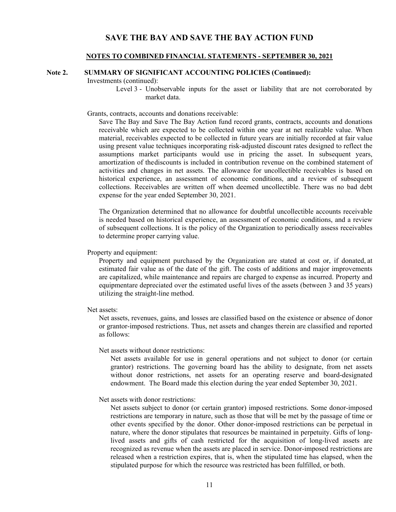#### **NOTES TO COMBINED FINANCIAL STATEMENTS - SEPTEMBER 30, 2021**

#### **Note 2. SUMMARY OF SIGNIFICANT ACCOUNTING POLICIES (Continued):**

Investments (continued):

Level 3 - Unobservable inputs for the asset or liability that are not corroborated by market data.

Grants, contracts, accounts and donations receivable:

Save The Bay and Save The Bay Action fund record grants, contracts, accounts and donations receivable which are expected to be collected within one year at net realizable value. When material, receivables expected to be collected in future years are initially recorded at fair value using present value techniques incorporating risk-adjusted discount rates designed to reflect the assumptions market participants would use in pricing the asset. In subsequent years, amortization of the discounts is included in contribution revenue on the combined statement of activities and changes in net assets. The allowance for uncollectible receivables is based on historical experience, an assessment of economic conditions, and a review of subsequent collections. Receivables are written off when deemed uncollectible. There was no bad debt expense for the year ended September 30, 2021.

The Organization determined that no allowance for doubtful uncollectible accounts receivable is needed based on historical experience, an assessment of economic conditions, and a review of subsequent collections. It is the policy of the Organization to periodically assess receivables to determine proper carrying value.

#### Property and equipment:

Property and equipment purchased by the Organization are stated at cost or, if donated, at estimated fair value as of the date of the gift. The costs of additions and major improvements are capitalized, while maintenance and repairs are charged to expense as incurred. Property and equipmentare depreciated over the estimated useful lives of the assets (between 3 and 35 years) utilizing the straight-line method.

#### Net assets:

Net assets, revenues, gains, and losses are classified based on the existence or absence of donor or grantor-imposed restrictions. Thus, net assets and changes therein are classified and reported as follows:

Net assets without donor restrictions:

Net assets available for use in general operations and not subject to donor (or certain grantor) restrictions. The governing board has the ability to designate, from net assets without donor restrictions, net assets for an operating reserve and board-designated endowment. The Board made this election during the year ended September 30, 2021.

#### Net assets with donor restrictions:

Net assets subject to donor (or certain grantor) imposed restrictions. Some donor-imposed restrictions are temporary in nature, such as those that will be met by the passage of time or other events specified by the donor. Other donor-imposed restrictions can be perpetual in nature, where the donor stipulates that resources be maintained in perpetuity. Gifts of longlived assets and gifts of cash restricted for the acquisition of long-lived assets are recognized as revenue when the assets are placed in service. Donor-imposed restrictions are released when a restriction expires, that is, when the stipulated time has elapsed, when the stipulated purpose for which the resource was restricted has been fulfilled, or both.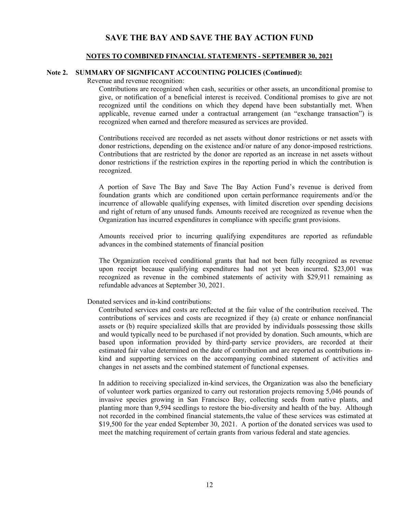#### **NOTES TO COMBINED FINANCIAL STATEMENTS - SEPTEMBER 30, 2021**

#### **Note 2. SUMMARY OF SIGNIFICANT ACCOUNTING POLICIES (Continued):**

Revenue and revenue recognition:

Contributions are recognized when cash, securities or other assets, an unconditional promise to give, or notification of a beneficial interest is received. Conditional promises to give are not recognized until the conditions on which they depend have been substantially met. When applicable, revenue earned under a contractual arrangement (an "exchange transaction") is recognized when earned and therefore measured as services are provided.

Contributions received are recorded as net assets without donor restrictions or net assets with donor restrictions, depending on the existence and/or nature of any donor-imposed restrictions. Contributions that are restricted by the donor are reported as an increase in net assets without donor restrictions if the restriction expires in the reporting period in which the contribution is recognized.

A portion of Save The Bay and Save The Bay Action Fund's revenue is derived from foundation grants which are conditioned upon certain performance requirements and/or the incurrence of allowable qualifying expenses, with limited discretion over spending decisions and right of return of any unused funds. Amounts received are recognized as revenue when the Organization has incurred expenditures in compliance with specific grant provisions.

Amounts received prior to incurring qualifying expenditures are reported as refundable advances in the combined statements of financial position

The Organization received conditional grants that had not been fully recognized as revenue upon receipt because qualifying expenditures had not yet been incurred. \$23,001 was recognized as revenue in the combined statements of activity with \$29,911 remaining as refundable advances at September 30, 2021.

Donated services and in-kind contributions:

Contributed services and costs are reflected at the fair value of the contribution received. The contributions of services and costs are recognized if they (a) create or enhance nonfinancial assets or (b) require specialized skills that are provided by individuals possessing those skills and would typically need to be purchased if not provided by donation. Such amounts, which are based upon information provided by third-party service providers, are recorded at their estimated fair value determined on the date of contribution and are reported as contributions inkind and supporting services on the accompanying combined statement of activities and changes in net assets and the combined statement of functional expenses.

In addition to receiving specialized in-kind services, the Organization was also the beneficiary of volunteer work parties organized to carry out restoration projects removing 5,046 pounds of invasive species growing in San Francisco Bay, collecting seeds from native plants, and planting more than 9,594 seedlings to restore the bio-diversity and health of the bay. Although not recorded in the combined financial statements, the value of these services was estimated at \$19,500 for the year ended September 30, 2021. A portion of the donated services was used to meet the matching requirement of certain grants from various federal and state agencies.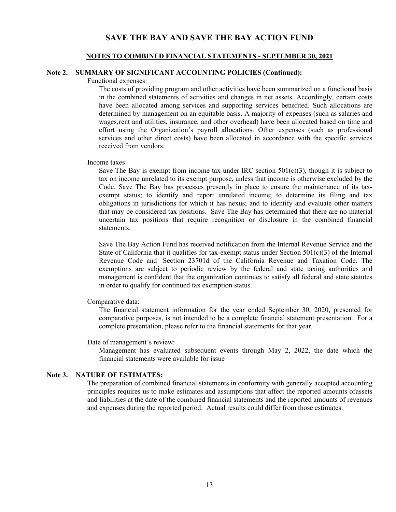#### **NOTES TO COMBINED FINANCIAL STATEMENTS - SEPTEMBER 30, 2021**

#### **Note 2. SUMMARY OF SIGNIFICANT ACCOUNTING POLICIES (Continued):**

Functional expenses:

The costs of providing program and other activities have been summarized on a functional basis in the combined statements of activities and changes in net assets. Accordingly, certain costs have been allocated among services and supporting services benefited. Such allocations are determined by management on an equitable basis. A majority of expenses (such as salaries and wages, rent and utilities, insurance, and other overhead) have been allocated based on time and effort using the Organization's payroll allocations. Other expenses (such as professional services and other direct costs) have been allocated in accordance with the specific services received from vendors.

#### Income taxes:

Save The Bay is exempt from income tax under IRC section  $501(c)(3)$ , though it is subject to tax on income unrelated to its exempt purpose, unless that income is otherwise excluded by the Code. Save The Bay has processes presently in place to ensure the maintenance of its taxexempt status; to identify and report unrelated income; to determine its filing and tax obligations in jurisdictions for which it has nexus; and to identify and evaluate other matters that may be considered tax positions. Save The Bay has determined that there are no material uncertain tax positions that require recognition or disclosure in the combined financial statements.

Save The Bay Action Fund has received notification from the Internal Revenue Service and the State of California that it qualifies for tax-exempt status under Section  $501(c)(3)$  of the Internal Revenue Code and Section 23701d of the California Revenue and Taxation Code. The exemptions are subject to periodic review by the federal and state taxing authorities and management is confident that the organization continues to satisfy all federal and state statutes in order to qualify for continued tax exemption status.

Comparative data:

The financial statement information for the year ended September 30, 2020, presented for comparative purposes, is not intended to be a complete financial statement presentation. For a complete presentation, please refer to the financial statements for that year.

Date of management's review:

Management has evaluated subsequent events through May 2, 2022, the date which the financial statements were available for issue

#### **Note 3. NATURE OF ESTIMATES:**

The preparation of combined financial statements in conformity with generally accepted accounting principles requires us to make estimates and assumptions that affect the reported amounts of assets and liabilities at the date of the combined financial statements and the reported amounts of revenues and expenses during the reported period. Actual results could differ from those estimates.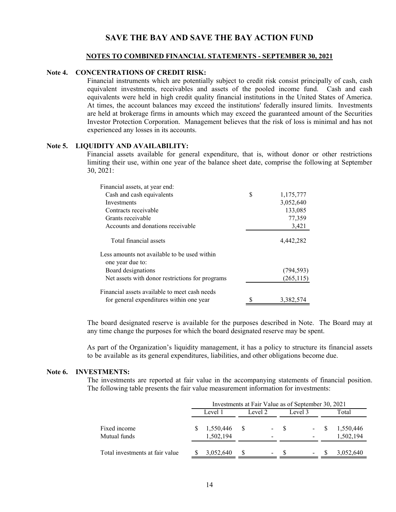#### **NOTES TO COMBINED FINANCIAL STATEMENTS - SEPTEMBER 30, 2021**

#### **Note 4. CONCENTRATIONS OF CREDIT RISK:**

Financial instruments which are potentially subject to credit risk consist principally of cash, cash equivalent investments, receivables and assets of the pooled income fund. Cash and cash equivalents were held in high credit quality financial institutions in the United States of America. At times, the account balances may exceed the institutions' federally insured limits. Investments are held at brokerage firms in amounts which may exceed the guaranteed amount of the Securities Investor Protection Corporation. Management believes that the risk of loss is minimal and has not experienced any losses in its accounts.

#### **Note 5. LIQUIDITY AND AVAILABILITY:**

Financial assets available for general expenditure, that is, without donor or other restrictions limiting their use, within one year of the balance sheet date, comprise the following at September 30, 2021:

| Financial assets, at year end:                  |                 |
|-------------------------------------------------|-----------------|
| Cash and cash equivalents                       | \$<br>1,175,777 |
| Investments                                     | 3,052,640       |
| Contracts receivable                            | 133,085         |
| Grants receivable                               | 77,359          |
| Accounts and donations receivable               | 3,421           |
| Total financial assets                          | 4,442,282       |
| Less amounts not available to be used within    |                 |
| one year due to:                                |                 |
| Board designations                              | (794, 593)      |
| Net assets with donor restrictions for programs | (265, 115)      |
| Financial assets available to meet cash needs   |                 |
| for general expenditures within one year        | 3,382,574       |

The board designated reserve is available for the purposes described in Note. The Board may at any time change the purposes for which the board designated reserve may be spent.

As part of the Organization's liquidity management, it has a policy to structure its financial assets to be available as its general expenditures, liabilities, and other obligations become due.

#### **Note 6. INVESTMENTS:**

The investments are reported at fair value in the accompanying statements of financial position. The following table presents the fair value measurement information for investments:

|                                 |         |                        | Investments at Fair Value as of September 30, 2021 |                          |         |       |       |                        |
|---------------------------------|---------|------------------------|----------------------------------------------------|--------------------------|---------|-------|-------|------------------------|
|                                 | Level 1 |                        | Level 2                                            |                          | Level 3 |       | Total |                        |
| Fixed income<br>Mutual funds    |         | 1,550,446<br>1,502,194 | -S                                                 | $\sim$<br>۰              | - S     | $- S$ |       | 1,550,446<br>1,502,194 |
| Total investments at fair value |         | 3,052,640              | -S                                                 | $\overline{\phantom{a}}$ | -8      |       |       | 3,052,640              |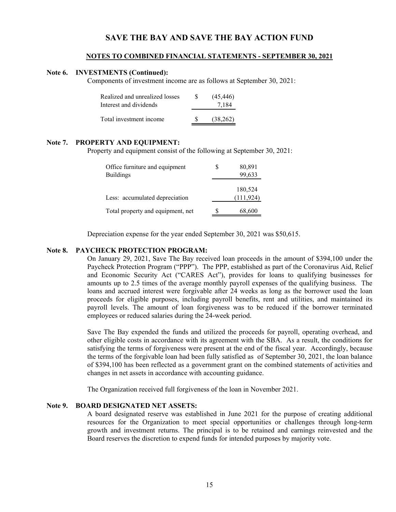#### **NOTES TO COMBINED FINANCIAL STATEMENTS - SEPTEMBER 30, 2021**

#### **Note 6. INVESTMENTS (Continued):**

Components of investment income are as follows at September 30, 2021:

| Realized and unrealized losses | (45, 446) |
|--------------------------------|-----------|
| Interest and dividends         | 7,184     |
| Total investment income        | (38.262)  |

#### **Note 7. PROPERTY AND EQUIPMENT:**

Property and equipment consist of the following at September 30, 2021:

| Office furniture and equipment    | 80,891     |
|-----------------------------------|------------|
| <b>Buildings</b>                  | 99,633     |
|                                   |            |
|                                   | 180,524    |
| Less: accumulated depreciation    | (111, 924) |
|                                   |            |
| Total property and equipment, net | 68,600     |

Depreciation expense for the year ended September 30, 2021 was \$50,615.

#### **Note 8. PAYCHECK PROTECTION PROGRAM:**

On January 29, 2021, Save The Bay received loan proceeds in the amount of \$394,100 under the Paycheck Protection Program ("PPP"). The PPP, established as part of the Coronavirus Aid, Relief and Economic Security Act ("CARES Act"), provides for loans to qualifying businesses for amounts up to 2.5 times of the average monthly payroll expenses of the qualifying business. The loans and accrued interest were forgivable after 24 weeks as long as the borrower used the loan proceeds for eligible purposes, including payroll benefits, rent and utilities, and maintained its payroll levels. The amount of loan forgiveness was to be reduced if the borrower terminated employees or reduced salaries during the 24-week period.

Save The Bay expended the funds and utilized the proceeds for payroll, operating overhead, and other eligible costs in accordance with its agreement with the SBA. As a result, the conditions for satisfying the terms of forgiveness were present at the end of the fiscal year. Accordingly, because the terms of the forgivable loan had been fully satisfied as of September 30, 2021, the loan balance of \$394,100 has been reflected as a government grant on the combined statements of activities and changes in net assets in accordance with accounting guidance.

The Organization received full forgiveness of the loan in November 2021.

#### **Note 9. BOARD DESIGNATED NET ASSETS:**

A board designated reserve was established in June 2021 for the purpose of creating additional resources for the Organization to meet special opportunities or challenges through long-term growth and investment returns. The principal is to be retained and earnings reinvested and the Board reserves the discretion to expend funds for intended purposes by majority vote.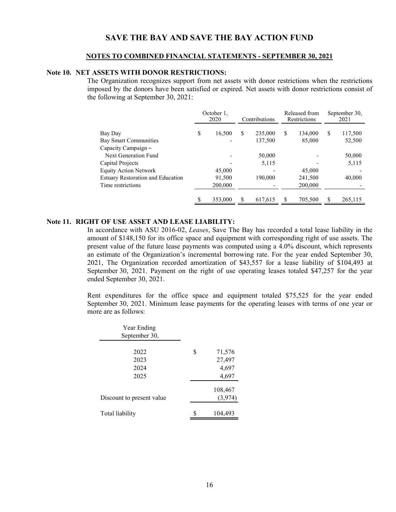#### **NOTES TO COMBINED FINANCIAL STATEMENTS - SEPTEMBER 30, 2021**

#### **Note 10. NET ASSETS WITH DONOR RESTRICTIONS:**

The Organization recognizes support from net assets with donor restrictions when the restrictions imposed by the donors have been satisfied or expired. Net assets with donor restrictions consist of the following at September 30, 2021:

|                                              | October 1.<br>2020 |         | Contributions |         | Released from<br>Restrictions |         | September 30,<br>2021 |         |
|----------------------------------------------|--------------------|---------|---------------|---------|-------------------------------|---------|-----------------------|---------|
| Bay Day                                      | \$                 | 16,500  | S             | 235,000 | S                             | 134,000 | S                     | 117,500 |
| Bay Smart Communities<br>Capacity Campaign – |                    |         |               | 137,500 |                               | 85,000  |                       | 52,500  |
| Next Generation Fund                         |                    |         |               | 50,000  |                               |         |                       | 50,000  |
| Capital Projects                             |                    |         |               | 5,115   |                               |         |                       | 5,115   |
| <b>Equity Action Network</b>                 |                    | 45,000  |               |         |                               | 45,000  |                       |         |
| <b>Estuary Restoration and Education</b>     |                    | 91,500  |               | 190,000 |                               | 241,500 |                       | 40,000  |
| Time restrictions                            |                    | 200,000 |               |         |                               | 200,000 |                       |         |
|                                              | \$                 | 353,000 | \$            | 617,615 | \$                            | 705,500 | S                     | 265,115 |

#### **Note 11. RIGHT OF USE ASSET AND LEASE LIABILITY:**

In accordance with ASU 2016-02, *Leases*, Save The Bay has recorded a total lease liability in the amount of \$148,150 for its office space and equipment with corresponding right of use assets. The present value of the future lease payments was computed using a 4.0% discount, which represents an estimate of the Organization's incremental borrowing rate. For the year ended September 30, 2021, The Organization recorded amortization of \$43,557 for a lease liability of \$104,493 at September 30, 2021. Payment on the right of use operating leases totaled \$47,257 for the year ended September 30, 2021.

Rent expenditures for the office space and equipment totaled \$75,525 for the year ended September 30, 2021. Minimum lease payments for the operating leases with terms of one year or more are as follows:

| Year Ending<br>September 30, |    |                    |
|------------------------------|----|--------------------|
| 2022                         | \$ | 71,576             |
| 2023                         |    | 27,497             |
| 2024                         |    | 4,697              |
| 2025                         |    | 4,697              |
| Discount to present value    |    | 108,467<br>(3,974) |
| Total liability              | S  | 104,493            |